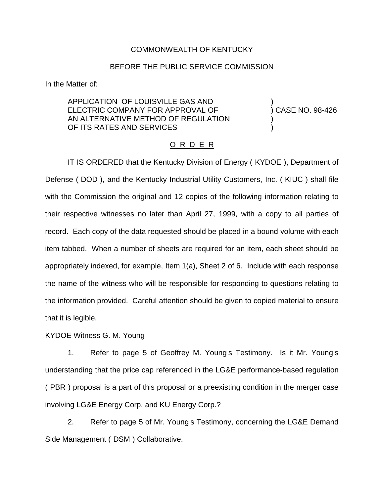# COMMONWEALTH OF KENTUCKY

# BEFORE THE PUBLIC SERVICE COMMISSION

In the Matter of:

APPLICATION OF LOUISVILLE GAS AND ) ELECTRIC COMPANY FOR APPROVAL OF (38-426) AN ALTERNATIVE METHOD OF REGULATION OF ITS RATES AND SERVICES

# O R D E R

IT IS ORDERED that the Kentucky Division of Energy ( KYDOE ), Department of Defense ( DOD ), and the Kentucky Industrial Utility Customers, Inc. ( KIUC ) shall file with the Commission the original and 12 copies of the following information relating to their respective witnesses no later than April 27, 1999, with a copy to all parties of record. Each copy of the data requested should be placed in a bound volume with each item tabbed. When a number of sheets are required for an item, each sheet should be appropriately indexed, for example, Item 1(a), Sheet 2 of 6. Include with each response the name of the witness who will be responsible for responding to questions relating to the information provided. Careful attention should be given to copied material to ensure that it is legible.

# KYDOE Witness G. M. Young

1. Refer to page 5 of Geoffrey M. Young s Testimony. Is it Mr. Young s understanding that the price cap referenced in the LG&E performance-based regulation ( PBR ) proposal is a part of this proposal or a preexisting condition in the merger case involving LG&E Energy Corp. and KU Energy Corp.?

2. Refer to page 5 of Mr. Young s Testimony, concerning the LG&E Demand Side Management ( DSM ) Collaborative.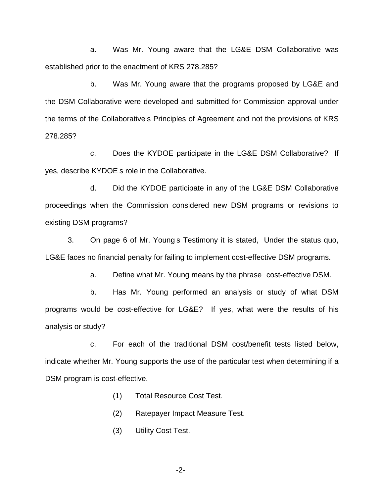a. Was Mr. Young aware that the LG&E DSM Collaborative was established prior to the enactment of KRS 278.285?

b. Was Mr. Young aware that the programs proposed by LG&E and the DSM Collaborative were developed and submitted for Commission approval under the terms of the Collaborative s Principles of Agreement and not the provisions of KRS 278.285?

c. Does the KYDOE participate in the LG&E DSM Collaborative? If yes, describe KYDOE s role in the Collaborative.

d. Did the KYDOE participate in any of the LG&E DSM Collaborative proceedings when the Commission considered new DSM programs or revisions to existing DSM programs?

3. On page 6 of Mr. Young s Testimony it is stated, Under the status quo, LG&E faces no financial penalty for failing to implement cost-effective DSM programs.

a. Define what Mr. Young means by the phrase cost-effective DSM.

b. Has Mr. Young performed an analysis or study of what DSM programs would be cost-effective for LG&E? If yes, what were the results of his analysis or study?

c. For each of the traditional DSM cost/benefit tests listed below, indicate whether Mr. Young supports the use of the particular test when determining if a DSM program is cost-effective.

- (1) Total Resource Cost Test.
- (2) Ratepayer Impact Measure Test.
- (3) Utility Cost Test.

-2-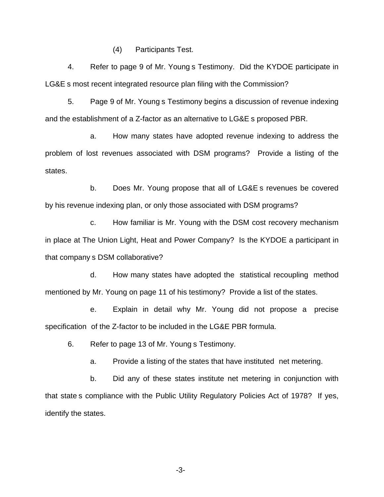(4) Participants Test.

4. Refer to page 9 of Mr. Young s Testimony. Did the KYDOE participate in LG&E s most recent integrated resource plan filing with the Commission?

5. Page 9 of Mr. Young s Testimony begins a discussion of revenue indexing and the establishment of a Z-factor as an alternative to LG&E s proposed PBR.

a. How many states have adopted revenue indexing to address the problem of lost revenues associated with DSM programs? Provide a listing of the states.

b. Does Mr. Young propose that all of LG&E s revenues be covered by his revenue indexing plan, or only those associated with DSM programs?

c. How familiar is Mr. Young with the DSM cost recovery mechanism in place at The Union Light, Heat and Power Company? Is the KYDOE a participant in that company s DSM collaborative?

d. How many states have adopted the statistical recoupling method mentioned by Mr. Young on page 11 of his testimony? Provide a list of the states.

e. Explain in detail why Mr. Young did not propose a precise specification of the Z-factor to be included in the LG&E PBR formula.

6. Refer to page 13 of Mr. Young s Testimony.

a. Provide a listing of the states that have instituted net metering.

b. Did any of these states institute net metering in conjunction with that state s compliance with the Public Utility Regulatory Policies Act of 1978? If yes, identify the states.

-3-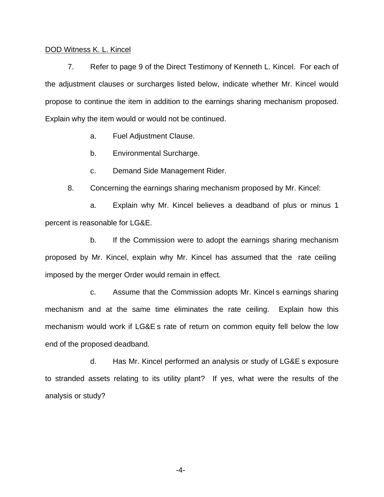## DOD Witness K. L. Kincel

7. Refer to page 9 of the Direct Testimony of Kenneth L. Kincel. For each of the adjustment clauses or surcharges listed below, indicate whether Mr. Kincel would propose to continue the item in addition to the earnings sharing mechanism proposed. Explain why the item would or would not be continued.

a. Fuel Adjustment Clause.

b. Environmental Surcharge.

c. Demand Side Management Rider.

8. Concerning the earnings sharing mechanism proposed by Mr. Kincel:

a. Explain why Mr. Kincel believes a deadband of plus or minus 1 percent is reasonable for LG&E.

b. If the Commission were to adopt the earnings sharing mechanism proposed by Mr. Kincel, explain why Mr. Kincel has assumed that the rate ceiling imposed by the merger Order would remain in effect.

c. Assume that the Commission adopts Mr. Kincel s earnings sharing mechanism and at the same time eliminates the rate ceiling. Explain how this mechanism would work if LG&E s rate of return on common equity fell below the low end of the proposed deadband.

d. Has Mr. Kincel performed an analysis or study of LG&E s exposure to stranded assets relating to its utility plant? If yes, what were the results of the analysis or study?

-4-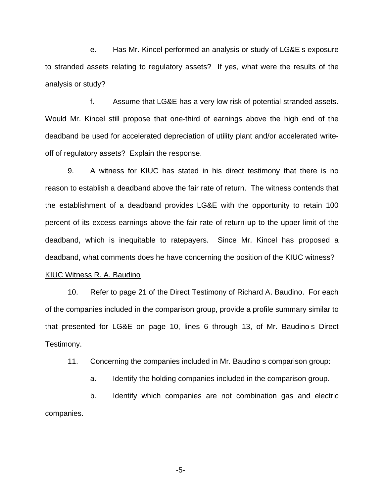e. Has Mr. Kincel performed an analysis or study of LG&E s exposure to stranded assets relating to regulatory assets? If yes, what were the results of the analysis or study?

f. Assume that LG&E has a very low risk of potential stranded assets. Would Mr. Kincel still propose that one-third of earnings above the high end of the deadband be used for accelerated depreciation of utility plant and/or accelerated writeoff of regulatory assets? Explain the response.

9. A witness for KIUC has stated in his direct testimony that there is no reason to establish a deadband above the fair rate of return. The witness contends that the establishment of a deadband provides LG&E with the opportunity to retain 100 percent of its excess earnings above the fair rate of return up to the upper limit of the deadband, which is inequitable to ratepayers. Since Mr. Kincel has proposed a deadband, what comments does he have concerning the position of the KIUC witness?

# KIUC Witness R. A. Baudino

10. Refer to page 21 of the Direct Testimony of Richard A. Baudino. For each of the companies included in the comparison group, provide a profile summary similar to that presented for LG&E on page 10, lines 6 through 13, of Mr. Baudino s Direct Testimony.

11. Concerning the companies included in Mr. Baudino s comparison group:

a. Identify the holding companies included in the comparison group.

b. Identify which companies are not combination gas and electric companies.

-5-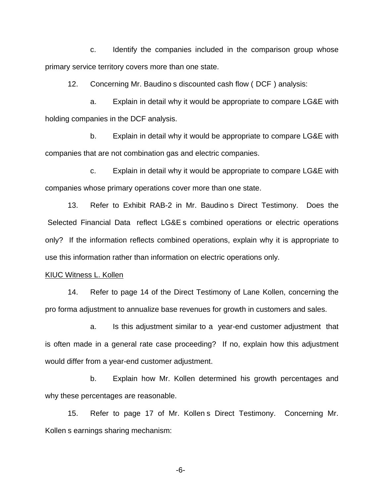c. Identify the companies included in the comparison group whose primary service territory covers more than one state.

12. Concerning Mr. Baudino s discounted cash flow ( DCF ) analysis:

a. Explain in detail why it would be appropriate to compare LG&E with holding companies in the DCF analysis.

b. Explain in detail why it would be appropriate to compare LG&E with companies that are not combination gas and electric companies.

c. Explain in detail why it would be appropriate to compare LG&E with companies whose primary operations cover more than one state.

13. Refer to Exhibit RAB-2 in Mr. Baudino s Direct Testimony. Does the Selected Financial Data reflect LG&E s combined operations or electric operations only? If the information reflects combined operations, explain why it is appropriate to use this information rather than information on electric operations only.

#### KIUC Witness L. Kollen

14. Refer to page 14 of the Direct Testimony of Lane Kollen, concerning the pro forma adjustment to annualize base revenues for growth in customers and sales.

a. Is this adjustment similar to a year-end customer adjustment that is often made in a general rate case proceeding? If no, explain how this adjustment would differ from a year-end customer adjustment.

b. Explain how Mr. Kollen determined his growth percentages and why these percentages are reasonable.

15. Refer to page 17 of Mr. Kollen s Direct Testimony. Concerning Mr. Kollen s earnings sharing mechanism:

-6-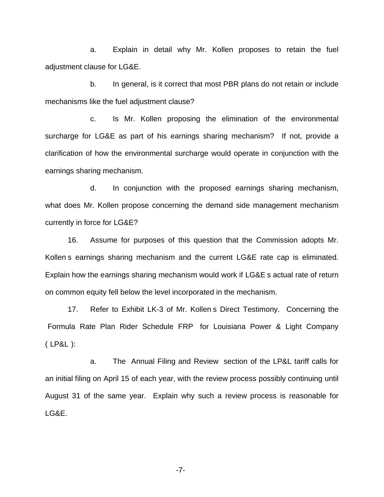a. Explain in detail why Mr. Kollen proposes to retain the fuel adjustment clause for LG&E.

b. In general, is it correct that most PBR plans do not retain or include mechanisms like the fuel adjustment clause?

c. Is Mr. Kollen proposing the elimination of the environmental surcharge for LG&E as part of his earnings sharing mechanism? If not, provide a clarification of how the environmental surcharge would operate in conjunction with the earnings sharing mechanism.

d. In conjunction with the proposed earnings sharing mechanism, what does Mr. Kollen propose concerning the demand side management mechanism currently in force for LG&E?

16. Assume for purposes of this question that the Commission adopts Mr. Kollen s earnings sharing mechanism and the current LG&E rate cap is eliminated. Explain how the earnings sharing mechanism would work if LG&E s actual rate of return on common equity fell below the level incorporated in the mechanism.

17. Refer to Exhibit LK-3 of Mr. Kollen s Direct Testimony. Concerning the Formula Rate Plan Rider Schedule FRP for Louisiana Power & Light Company ( LP&L ):

a. The Annual Filing and Review section of the LP&L tariff calls for an initial filing on April 15 of each year, with the review process possibly continuing until August 31 of the same year. Explain why such a review process is reasonable for LG&E.

-7-